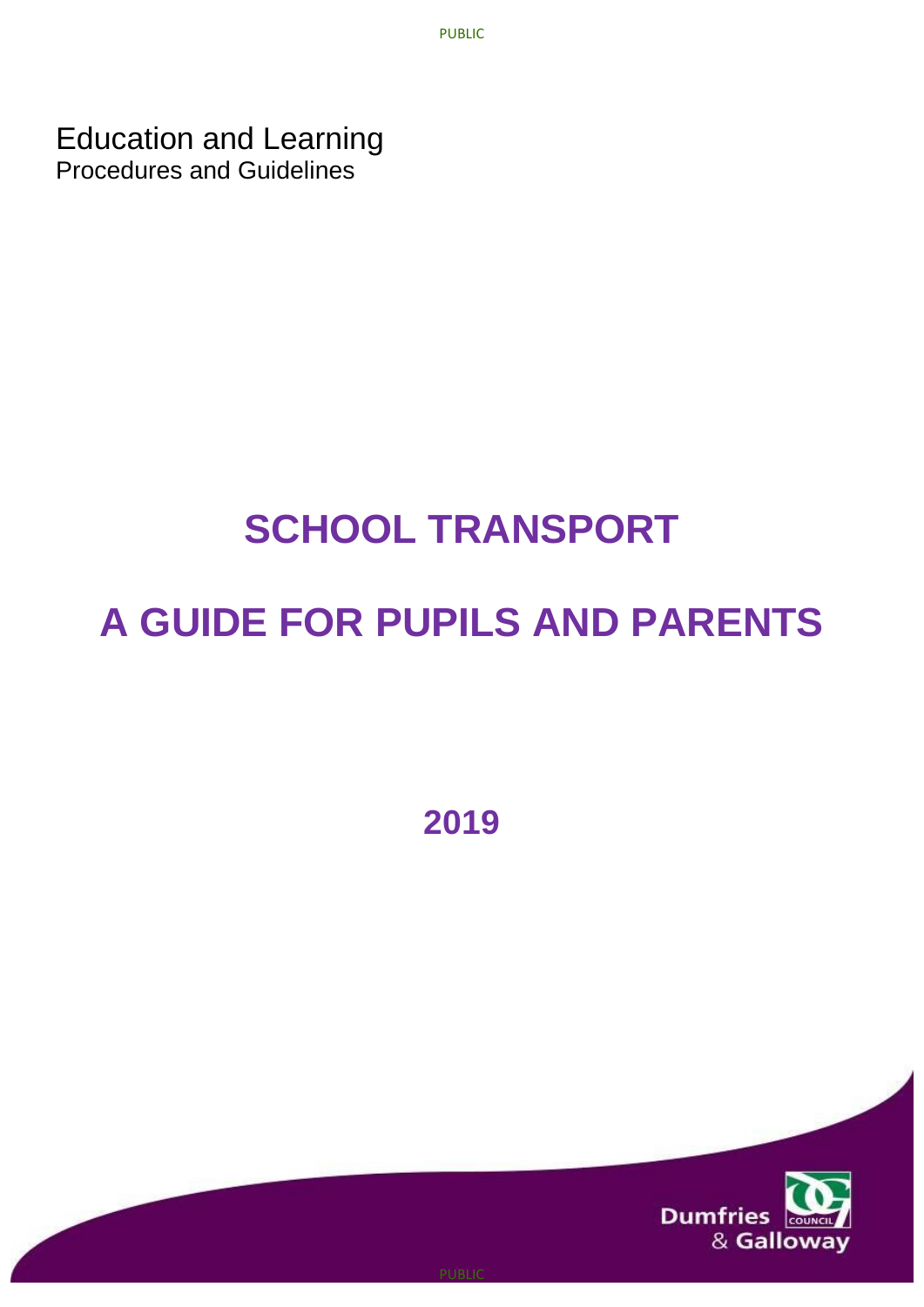PUBLIC

Education and Learning Procedures and Guidelines

# **SCHOOL TRANSPORT**

# **A GUIDE FOR PUPILS AND PARENTS**

**2019**

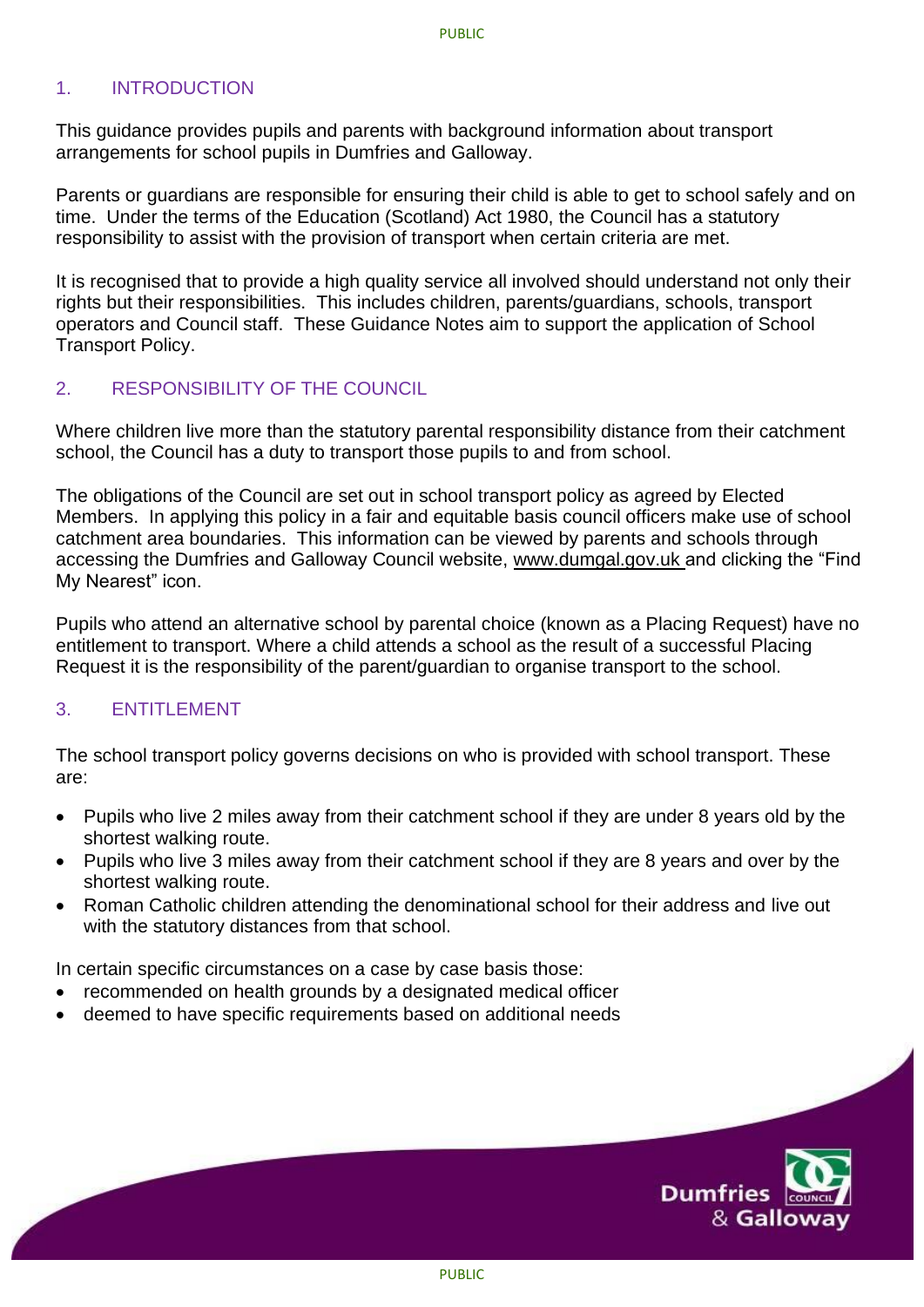# 1. INTRODUCTION

This guidance provides pupils and parents with background information about transport arrangements for school pupils in Dumfries and Galloway.

Parents or guardians are responsible for ensuring their child is able to get to school safely and on time. Under the terms of the Education (Scotland) Act 1980, the Council has a statutory responsibility to assist with the provision of transport when certain criteria are met.

It is recognised that to provide a high quality service all involved should understand not only their rights but their responsibilities. This includes children, parents/guardians, schools, transport operators and Council staff. These Guidance Notes aim to support the application of School Transport Policy.

#### 2. RESPONSIBILITY OF THE COUNCIL

Where children live more than the statutory parental responsibility distance from their catchment school, the Council has a duty to transport those pupils to and from school.

The obligations of the Council are set out in school transport policy as agreed by Elected Members. In applying this policy in a fair and equitable basis council officers make use of school catchment area boundaries. This information can be viewed by parents and schools through accessing the Dumfries and Galloway Council website, www.dumgal.gov.uk and clicking the "Find My Nearest" icon.

Pupils who attend an alternative school by parental choice (known as a Placing Request) have no entitlement to transport. Where a child attends a school as the result of a successful Placing Request it is the responsibility of the parent/guardian to organise transport to the school.

## 3 **ENTITLEMENT**

The school transport policy governs decisions on who is provided with school transport. These are:

- Pupils who live 2 miles away from their catchment school if they are under 8 years old by the shortest walking route.
- Pupils who live 3 miles away from their catchment school if they are 8 years and over by the shortest walking route.
- Roman Catholic children attending the denominational school for their address and live out with the statutory distances from that school.

In certain specific circumstances on a case by case basis those:

- recommended on health grounds by a designated medical officer
- deemed to have specific requirements based on additional needs

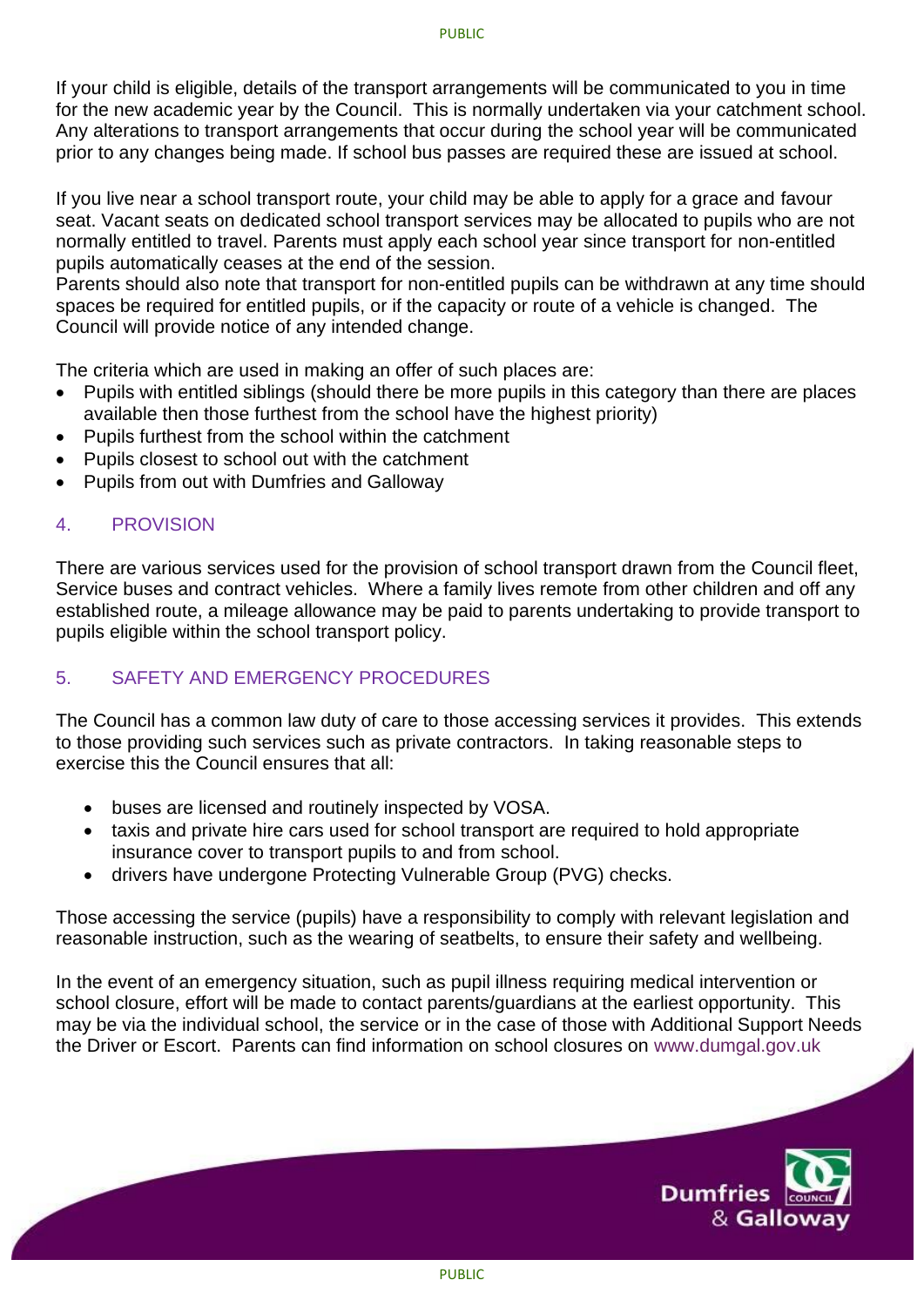If your child is eligible, details of the transport arrangements will be communicated to you in time for the new academic year by the Council. This is normally undertaken via your catchment school. Any alterations to transport arrangements that occur during the school year will be communicated prior to any changes being made. If school bus passes are required these are issued at school.

If you live near a school transport route, your child may be able to apply for a grace and favour seat. Vacant seats on dedicated school transport services may be allocated to pupils who are not normally entitled to travel. Parents must apply each school year since transport for non-entitled pupils automatically ceases at the end of the session.

Parents should also note that transport for non-entitled pupils can be withdrawn at any time should spaces be required for entitled pupils, or if the capacity or route of a vehicle is changed. The Council will provide notice of any intended change.

The criteria which are used in making an offer of such places are:

- Pupils with entitled siblings (should there be more pupils in this category than there are places available then those furthest from the school have the highest priority)
- Pupils furthest from the school within the catchment
- Pupils closest to school out with the catchment
- Pupils from out with Dumfries and Galloway

## 4. PROVISION

There are various services used for the provision of school transport drawn from the Council fleet, Service buses and contract vehicles. Where a family lives remote from other children and off any established route, a mileage allowance may be paid to parents undertaking to provide transport to pupils eligible within the school transport policy.

# 5. SAFETY AND EMERGENCY PROCEDURES

The Council has a common law duty of care to those accessing services it provides. This extends to those providing such services such as private contractors. In taking reasonable steps to exercise this the Council ensures that all:

- buses are licensed and routinely inspected by VOSA.
- taxis and private hire cars used for school transport are required to hold appropriate insurance cover to transport pupils to and from school.
- drivers have undergone Protecting Vulnerable Group (PVG) checks.

Those accessing the service (pupils) have a responsibility to comply with relevant legislation and reasonable instruction, such as the wearing of seatbelts, to ensure their safety and wellbeing.

In the event of an emergency situation, such as pupil illness requiring medical intervention or school closure, effort will be made to contact parents/guardians at the earliest opportunity. This may be via the individual school, the service or in the case of those with Additional Support Needs the Driver or Escort. Parents can find information on school closures on [www.dumgal.gov.uk](http://www.dumgal.gov.uk/)

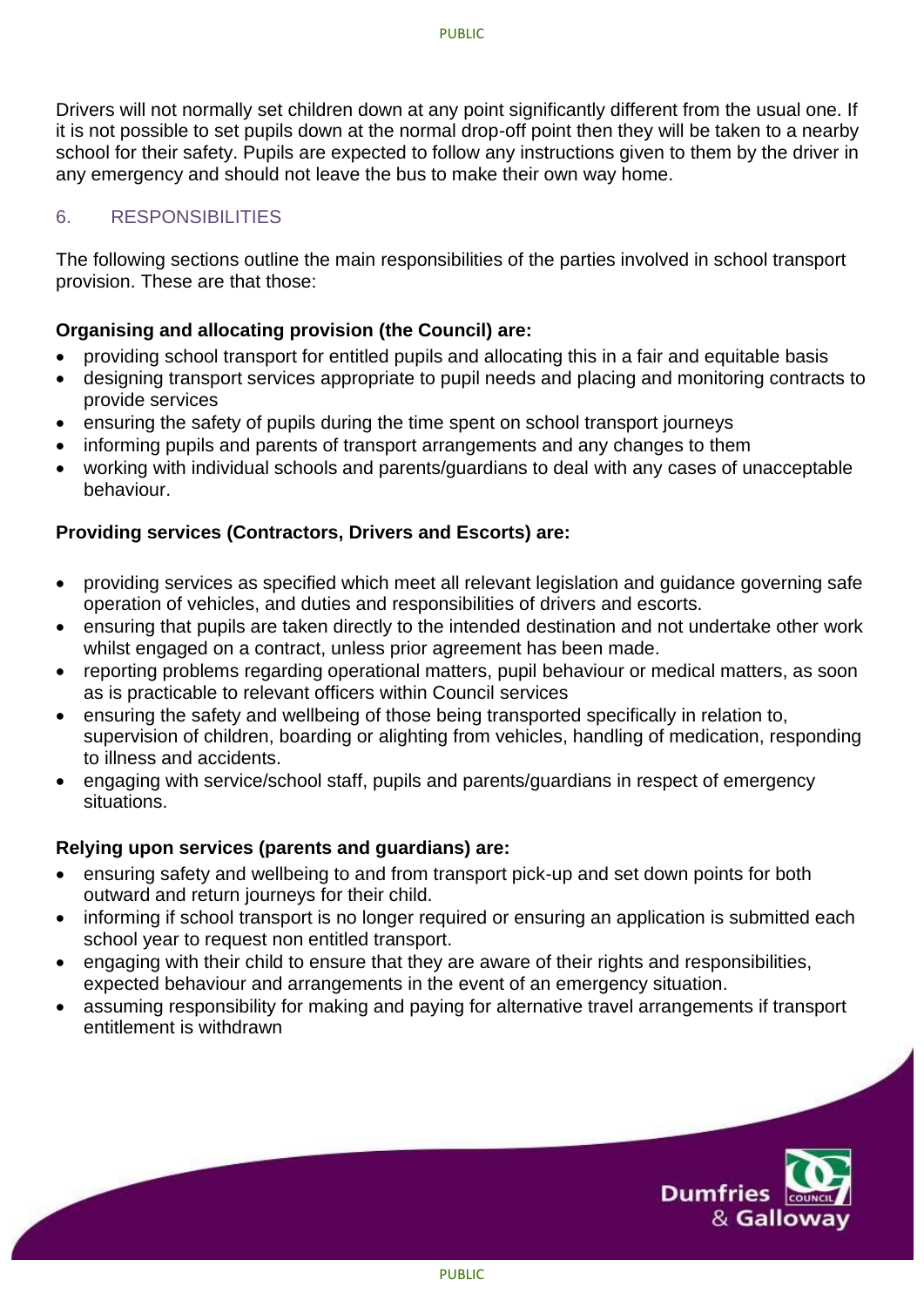Drivers will not normally set children down at any point significantly different from the usual one. If it is not possible to set pupils down at the normal drop-off point then they will be taken to a nearby school for their safety. Pupils are expected to follow any instructions given to them by the driver in any emergency and should not leave the bus to make their own way home.

# 6. RESPONSIBILITIES

The following sections outline the main responsibilities of the parties involved in school transport provision. These are that those:

# **Organising and allocating provision (the Council) are:**

- providing school transport for entitled pupils and allocating this in a fair and equitable basis
- designing transport services appropriate to pupil needs and placing and monitoring contracts to provide services
- ensuring the safety of pupils during the time spent on school transport journeys
- informing pupils and parents of transport arrangements and any changes to them
- working with individual schools and parents/guardians to deal with any cases of unacceptable behaviour.

# **Providing services (Contractors, Drivers and Escorts) are:**

- providing services as specified which meet all relevant legislation and guidance governing safe operation of vehicles, and duties and responsibilities of drivers and escorts.
- ensuring that pupils are taken directly to the intended destination and not undertake other work whilst engaged on a contract, unless prior agreement has been made.
- reporting problems regarding operational matters, pupil behaviour or medical matters, as soon as is practicable to relevant officers within Council services
- ensuring the safety and wellbeing of those being transported specifically in relation to, supervision of children, boarding or alighting from vehicles, handling of medication, responding to illness and accidents.
- engaging with service/school staff, pupils and parents/guardians in respect of emergency situations.

# **Relying upon services (parents and guardians) are:**

- ensuring safety and wellbeing to and from transport pick-up and set down points for both outward and return journeys for their child.
- informing if school transport is no longer required or ensuring an application is submitted each school year to request non entitled transport.
- engaging with their child to ensure that they are aware of their rights and responsibilities, expected behaviour and arrangements in the event of an emergency situation.
- assuming responsibility for making and paying for alternative travel arrangements if transport entitlement is withdrawn

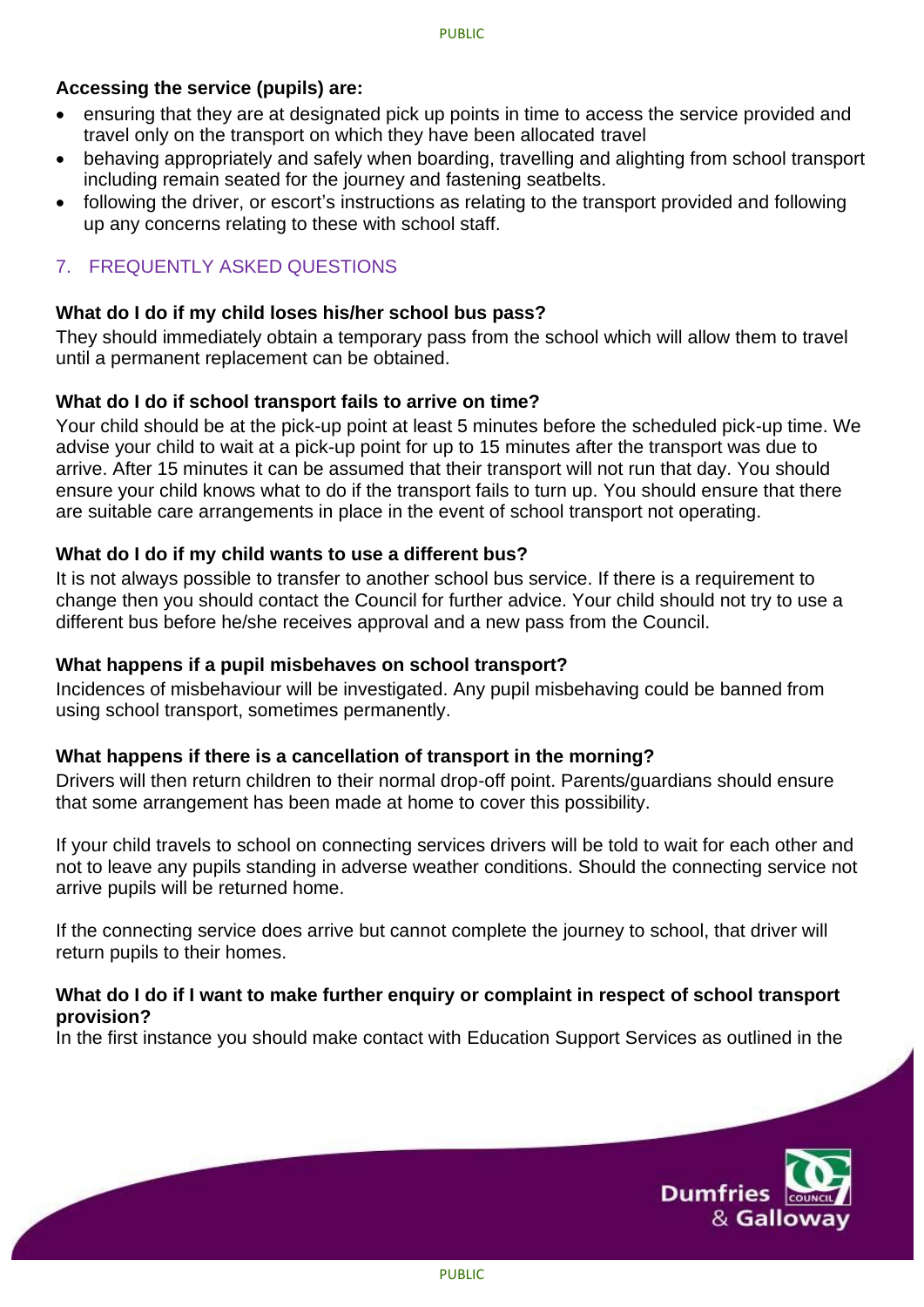## **Accessing the service (pupils) are:**

- ensuring that they are at designated pick up points in time to access the service provided and travel only on the transport on which they have been allocated travel
- behaving appropriately and safely when boarding, travelling and alighting from school transport including remain seated for the journey and fastening seatbelts.
- following the driver, or escort's instructions as relating to the transport provided and following up any concerns relating to these with school staff.

# 7. FREQUENTLY ASKED QUESTIONS

#### **What do I do if my child loses his/her school bus pass?**

They should immediately obtain a temporary pass from the school which will allow them to travel until a permanent replacement can be obtained.

#### **What do I do if school transport fails to arrive on time?**

Your child should be at the pick-up point at least 5 minutes before the scheduled pick-up time. We advise your child to wait at a pick-up point for up to 15 minutes after the transport was due to arrive. After 15 minutes it can be assumed that their transport will not run that day. You should ensure your child knows what to do if the transport fails to turn up. You should ensure that there are suitable care arrangements in place in the event of school transport not operating.

#### **What do I do if my child wants to use a different bus?**

It is not always possible to transfer to another school bus service. If there is a requirement to change then you should contact the Council for further advice. Your child should not try to use a different bus before he/she receives approval and a new pass from the Council.

#### **What happens if a pupil misbehaves on school transport?**

Incidences of misbehaviour will be investigated. Any pupil misbehaving could be banned from using school transport, sometimes permanently.

#### **What happens if there is a cancellation of transport in the morning?**

Drivers will then return children to their normal drop-off point. Parents/guardians should ensure that some arrangement has been made at home to cover this possibility.

If your child travels to school on connecting services drivers will be told to wait for each other and not to leave any pupils standing in adverse weather conditions. Should the connecting service not arrive pupils will be returned home.

If the connecting service does arrive but cannot complete the journey to school, that driver will return pupils to their homes.

#### **What do I do if I want to make further enquiry or complaint in respect of school transport provision?**

In the first instance you should make contact with Education Support Services as outlined in the